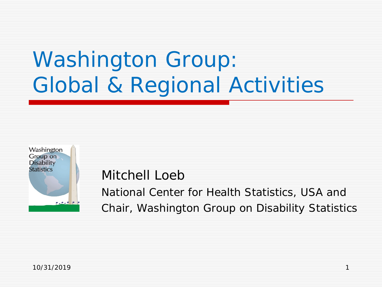# Washington Group: Global & Regional Activities



#### Mitchell Loeb

National Center for Health Statistics, USA and

Chair, Washington Group on Disability Statistics

1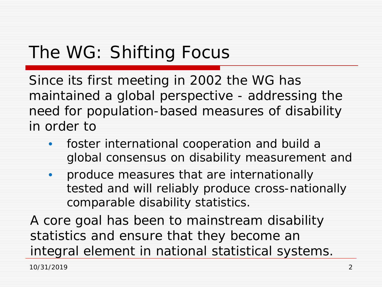## The WG: Shifting Focus

Since its first meeting in 2002 the WG has maintained a global perspective - addressing the need for population-based measures of disability in order to

- foster international cooperation and build a global consensus on disability measurement and
- produce measures that are internationally tested and will reliably produce cross-nationally comparable disability statistics.

A core goal has been to mainstream disability statistics and ensure that they become an integral element in national statistical systems.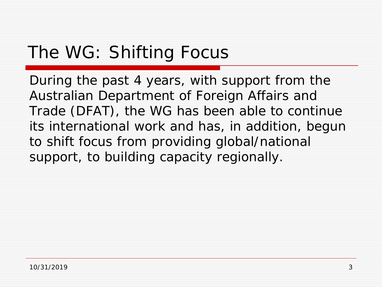### The WG: Shifting Focus

During the past 4 years, with support from the Australian Department of Foreign Affairs and Trade (DFAT), the WG has been able to continue its international work and has, in addition, begun to shift focus from providing *global/national* support, to building capacity *regionally*.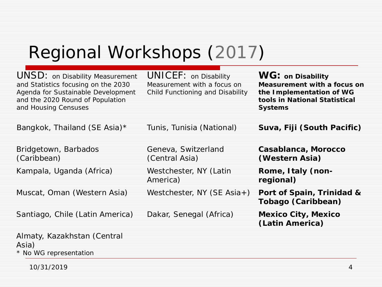#### Regional Workshops (2017)

UNSD: on Disability Measurement and Statistics focusing on the 2030 Agenda for Sustainable Development and the 2020 Round of Population and Housing Censuses

UNICEF: on Disability Measurement with a focus on Child Functioning and Disability **WG: on Disability Measurement with a focus on the Implementation of WG tools in National Statistical Systems**

Bangkok, Thailand (SE Asia)\* Tunis, Tunisia (National) **Suva, Fiji (South Pacific)**

Bridgetown, Barbados (Caribbean)

Kampala, Uganda (Africa) Westchester, NY (Latin

Santiago, Chile (Latin America) Dakar, Senegal (Africa) **Mexico City, Mexico** 

Geneva, Switzerland (Central Asia)

America)

**Casablanca, Morocco (Western Asia)**

**Rome, Italy (nonregional)**

Muscat, Oman (Western Asia) Westchester, NY (SE Asia+) **Port of Spain, Trinidad & Tobago (Caribbean)**

**(Latin America)**

Almaty, Kazakhstan (Central

Asia)

\* No WG representation

10/31/2019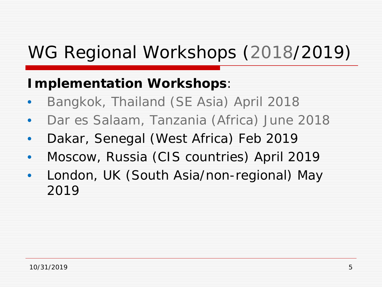### WG Regional Workshops (*2018*/2019)

#### **Implementation Workshops**:

- *Bangkok, Thailand (SE Asia) April 2018*
- *Dar es Salaam, Tanzania (Africa) June 2018*
- Dakar, Senegal (West Africa) Feb 2019
- Moscow, Russia (CIS countries) April 2019
- London, UK (South Asia/non-regional) May 2019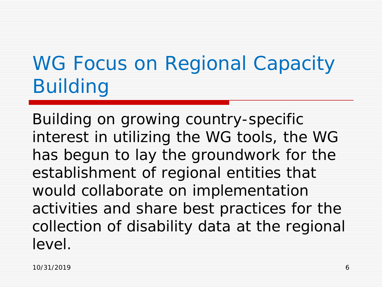## WG Focus on Regional Capacity Building

Building on growing country-specific interest in utilizing the WG tools, the WG has begun to lay the groundwork for the establishment of regional entities that would collaborate on implementation activities and share best practices for the collection of disability data at the regional level.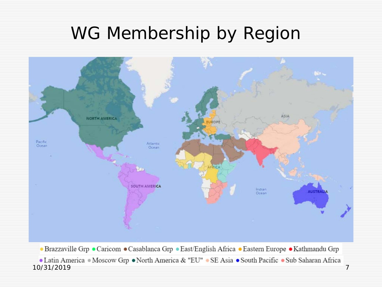#### WG Membership by Region



• Brazzaville Grp • Caricom • Casablanca Grp • East/English Africa • Eastern Europe • Kathmandu Grp • Latin America • Moscow Grp • North America & "EU" • SE Asia • South Pacific • Sub Saharan Africa 10/31/2019 7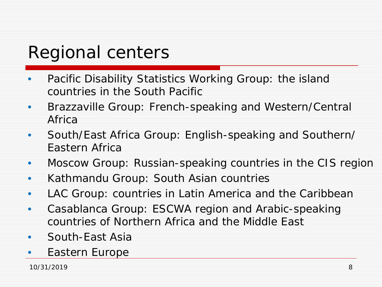### Regional centers

- Pacific Disability Statistics Working Group: the island countries in the South Pacific
- Brazzaville Group: French-speaking and Western/Central Africa
- South/East Africa Group: English-speaking and Southern/ Eastern Africa
- Moscow Group: Russian-speaking countries in the CIS region
- Kathmandu Group: South Asian countries
- LAC Group: countries in Latin America and the Caribbean
- Casablanca Group: ESCWA region and Arabic-speaking countries of Northern Africa and the Middle East
- South-East Asia
- Eastern Europe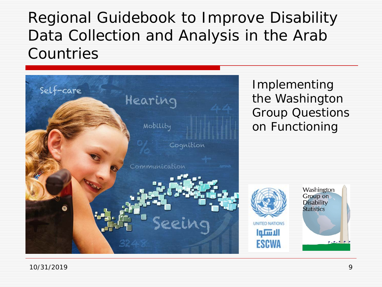#### Regional Guidebook to Improve Disability Data Collection and Analysis in the Arab Countries

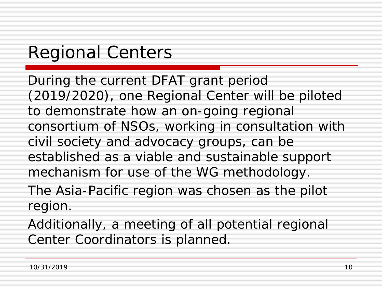### Regional Centers

During the current DFAT grant period (2019/2020), one Regional Center will be piloted to demonstrate how an on-going regional consortium of NSOs, working in consultation with civil society and advocacy groups, can be established as a viable and sustainable support mechanism for use of the WG methodology. The Asia-Pacific region was chosen as the pilot region.

Additionally, a meeting of all potential regional Center Coordinators is planned.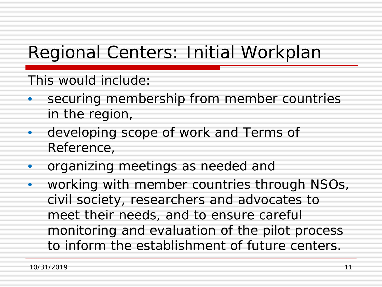### Regional Centers: Initial Workplan

#### This would include:

- securing membership from member countries in the region,
- developing scope of work and Terms of Reference,
- organizing meetings as needed and
- working with member countries through NSOs, civil society, researchers and advocates to meet their needs, and to ensure careful monitoring and evaluation of the pilot process to inform the establishment of future centers.